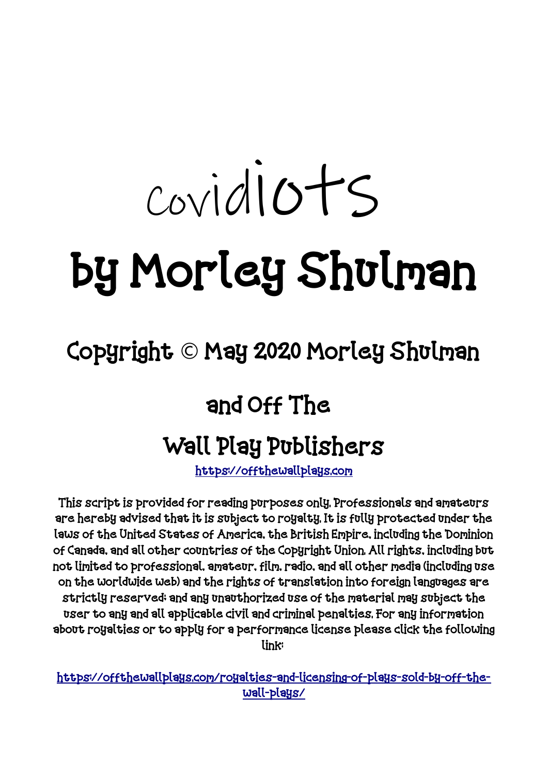# Covidiots by Morley Shulman

# Copyright  $\odot$  May 2020 Morley Shulman

# and Off The

# Wall Play Publishers

[https://offthewallplays.com](https://offthewallplays.com/)

This script is provided for reading purposes only. Professionals and amateurs are hereby advised that it is subject to royalty. It is fully protected under the laws of the United States of America, the British Empire, including the Dominion of Canada, and all other countries of the Copyright Union. All rights, including but not limited to professional, amateur, film, radio, and all other media (including use on the worldwide web) and the rights of translation into foreign languages are strictly reserved; and any unauthorized use of the material may subject the user to any and all applicable civil and criminal penalties. For any information about royalties or to apply for a performance license please click the following link:

[https://offthewallplays.com/royalties-and-licensing-of-plays-sold-by-off-the](https://offthewallplays.com/royalties-and-licensing-of-plays-sold-by-off-the-wall-plays/)[wall-plays/](https://offthewallplays.com/royalties-and-licensing-of-plays-sold-by-off-the-wall-plays/)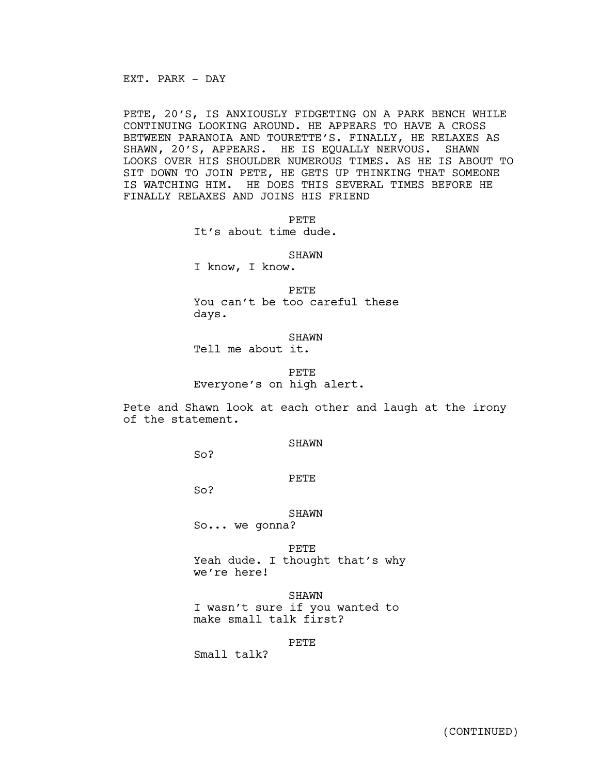EXT. PARK - DAY

PETE, 20'S, IS ANXIOUSLY FIDGETING ON A PARK BENCH WHILE CONTINUING LOOKING AROUND. HE APPEARS TO HAVE A CROSS BETWEEN PARANOIA AND TOURETTE'S. FINALLY, HE RELAXES AS SHAWN, 20'S, APPEARS. HE IS EQUALLY NERVOUS. SHAWN LOOKS OVER HIS SHOULDER NUMEROUS TIMES. AS HE IS ABOUT TO SIT DOWN TO JOIN PETE, HE GETS UP THINKING THAT SOMEONE IS WATCHING HIM. HE DOES THIS SEVERAL TIMES BEFORE HE FINALLY RELAXES AND JOINS HIS FRIEND

PETE

It's about time dude.

SHAWN

I know, I know.

PETE You can't be too careful these days.

SHAWN Tell me about it.

PETE Everyone's on high alert.

Pete and Shawn look at each other and laugh at the irony of the statement.

SHAWN

So?

PETE

So?

SHAWN So... we gonna?

PETE Yeah dude. I thought that's why we're here!

SHAWN

I wasn't sure if you wanted to make small talk first?

PETE

Small talk?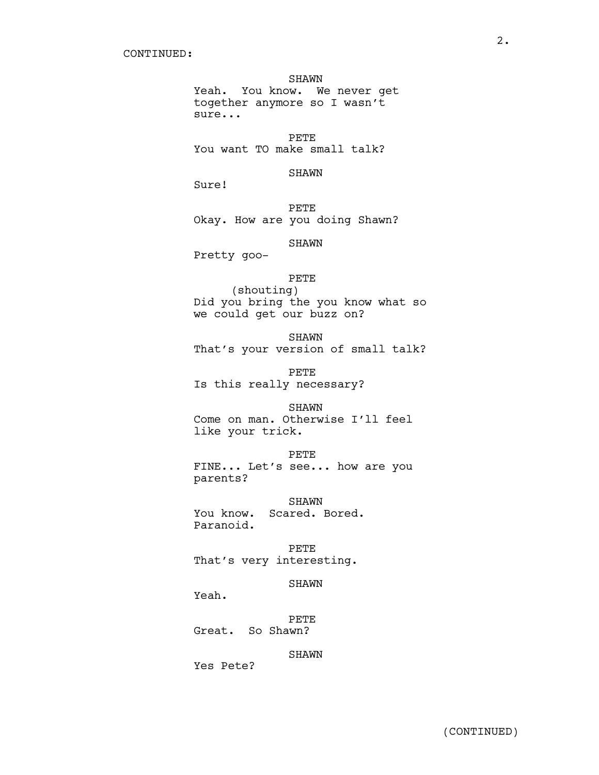#### SHAWN

Yeah. You know. We never get together anymore so I wasn't sure...

PETE You want TO make small talk?

#### SHAWN

Sure!

PETE Okay. How are you doing Shawn?

SHAWN

Pretty goo-

#### PETE

(shouting) Did you bring the you know what so we could get our buzz on?

SHAWN That's your version of small talk?

PETE Is this really necessary?

#### SHAWN

Come on man. Otherwise I'll feel like your trick.

#### PETE

FINE... Let's see... how are you parents?

SHAWN You know. Scared. Bored. Paranoid.

PETE That's very interesting.

#### SHAWN

Yeah.

PETE Great. So Shawn?

SHAWN

Yes Pete?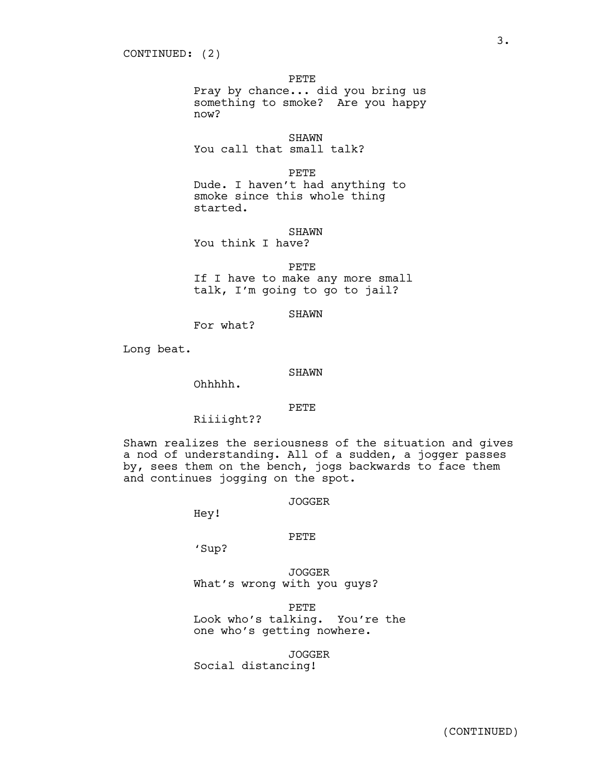PETE

Pray by chance... did you bring us something to smoke? Are you happy now?

**SHAWN** 

You call that small talk?

PETE

Dude. I haven't had anything to smoke since this whole thing started.

SHAWN

You think I have?

PETE

If I have to make any more small talk, I'm going to go to jail?

SHAWN

For what?

Long beat.

#### SHAWN

Ohhhhh.

#### PETE

Riiiight??

Shawn realizes the seriousness of the situation and gives a nod of understanding. All of a sudden, a jogger passes by, sees them on the bench, jogs backwards to face them and continues jogging on the spot.

JOGGER

Hey!

#### PETE

'Sup?

JOGGER What's wrong with you guys?

PETE Look who's talking. You're the one who's getting nowhere.

JOGGER

Social distancing!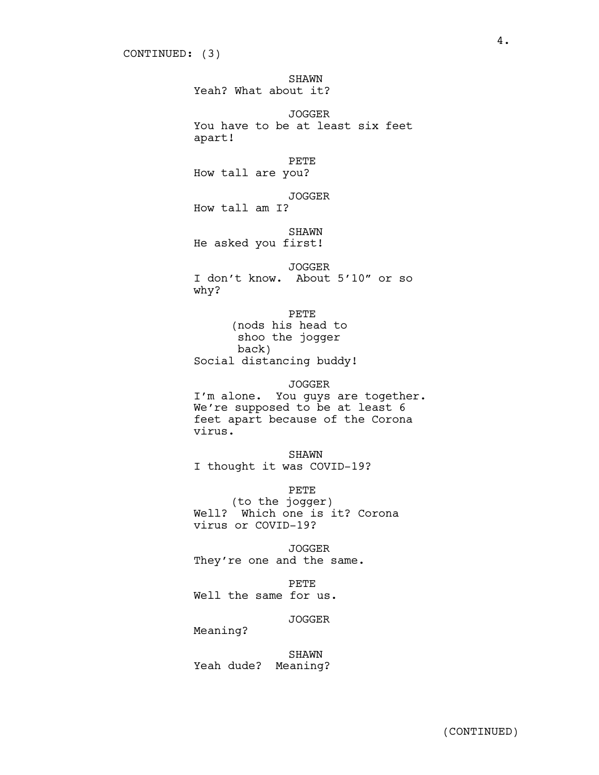SHAWN Yeah? What about it? JOGGER You have to be at least six feet apart! PETE How tall are you? JOGGER How tall am I? SHAWN He asked you first! JOGGER I don't know. About 5'10" or so why? PETE (nods his head to shoo the jogger back) Social distancing buddy! JOGGER I'm alone. You guys are together. We're supposed to be at least 6 feet apart because of the Corona virus. SHAWN I thought it was COVID-19? PETE (to the jogger)

Well? Which one is it? Corona virus or COVID-19?

JOGGER They're one and the same.

PETE Well the same for us.

JOGGER

Meaning?

SHAWN Yeah dude? Meaning?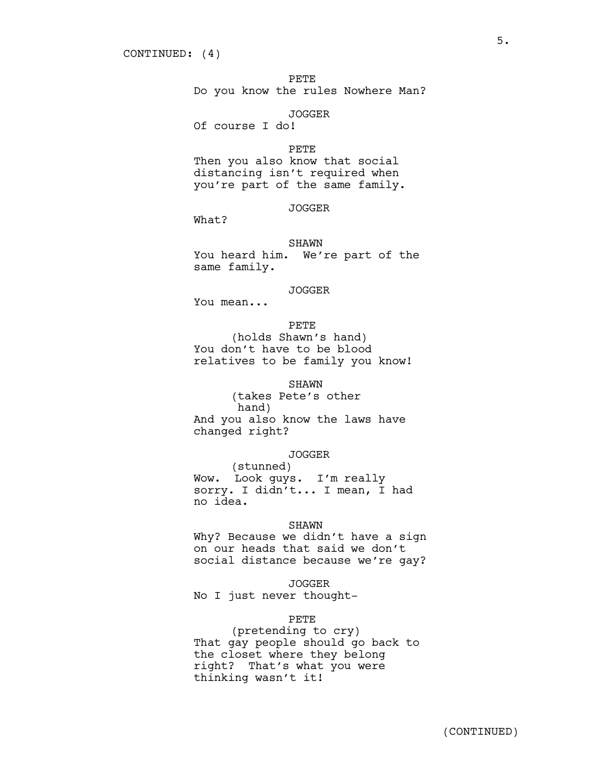PETE

Do you know the rules Nowhere Man?

#### JOGGER

Of course I do!

#### PETE

Then you also know that social distancing isn't required when you're part of the same family.

## JOGGER

What?

#### SHAWN

You heard him. We're part of the same family.

## JOGGER

You mean...

### PETE

(holds Shawn's hand) You don't have to be blood relatives to be family you know!

#### SHAWN

(takes Pete's other hand) And you also know the laws have changed right?

## JOGGER

(stunned) Wow. Look guys. I'm really sorry. I didn't... I mean, I had no idea.

#### SHAWN

Why? Because we didn't have a sign on our heads that said we don't social distance because we're gay?

#### JOGGER

No I just never thought-

#### PETE

(pretending to cry) That gay people should go back to the closet where they belong right? That's what you were thinking wasn't it!